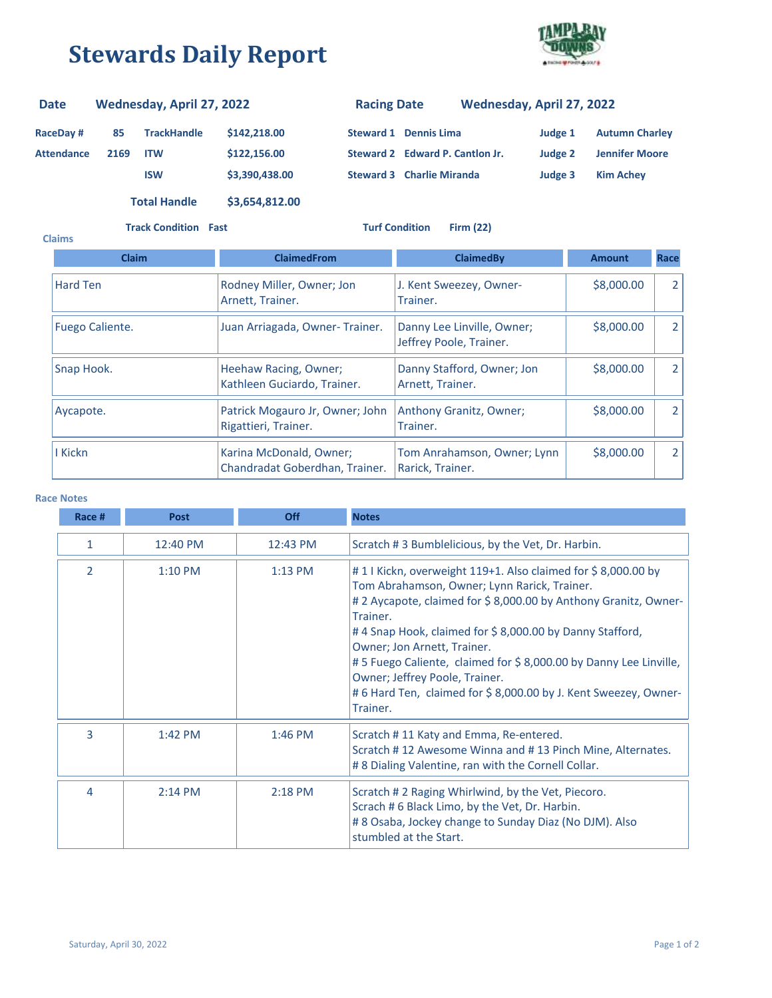## **Stewards Daily Report**



## **RaceDay # 85 Attendance 2169 TrackHandle \$142,218.00 ITW \$122,156.00 ISW \$3,390,438.00 Steward 2 Edward P. Cantlon Jr. Steward 3 Charlie Miranda Judge 3 Kim Achey Judge 2 Jennifer Moore Steward 1 Dennis Lima Judge 1 Autumn Charley Date Wednesday, April 27, 2022 Racing Date Wednesday, April 27, 2022 Total Handle \$3,654,812.00**

**Track Condition Fast Turf Condition Firm (22)**

| <b>Claims</b>   |                                                           |                                                       |               |                |
|-----------------|-----------------------------------------------------------|-------------------------------------------------------|---------------|----------------|
| <b>Claim</b>    | <b>ClaimedFrom</b>                                        | <b>ClaimedBy</b>                                      | <b>Amount</b> | <b>Race</b>    |
| Hard Ten        | Rodney Miller, Owner; Jon<br>Arnett, Trainer.             | J. Kent Sweezey, Owner-<br>Trainer.                   | \$8,000.00    | $\overline{2}$ |
| Fuego Caliente. | Juan Arriagada, Owner-Trainer.                            | Danny Lee Linville, Owner;<br>Jeffrey Poole, Trainer. | \$8,000.00    | 2              |
| Snap Hook.      | Heehaw Racing, Owner;<br>Kathleen Guciardo, Trainer.      | Danny Stafford, Owner; Jon<br>Arnett, Trainer.        | \$8,000.00    | 2              |
| Aycapote.       | Patrick Mogauro Jr, Owner; John<br>Rigattieri, Trainer.   | Anthony Granitz, Owner;<br>Trainer.                   | \$8,000.00    | $\overline{2}$ |
| I Kickn         | Karina McDonald, Owner;<br>Chandradat Goberdhan, Trainer. | Tom Anrahamson, Owner; Lynn<br>Rarick, Trainer.       | \$8,000.00    | 2              |

## **Race Notes**

| Race #         | <b>Post</b> | Off       | <b>Notes</b>                                                                                                                                                                                                                                                                                                                                                                                                                                                             |
|----------------|-------------|-----------|--------------------------------------------------------------------------------------------------------------------------------------------------------------------------------------------------------------------------------------------------------------------------------------------------------------------------------------------------------------------------------------------------------------------------------------------------------------------------|
| 1              | 12:40 PM    | 12:43 PM  | Scratch #3 Bumblelicious, by the Vet, Dr. Harbin.                                                                                                                                                                                                                                                                                                                                                                                                                        |
| $\overline{2}$ | $1:10$ PM   | $1:13$ PM | #11 Kickn, overweight 119+1. Also claimed for \$8,000.00 by<br>Tom Abrahamson, Owner; Lynn Rarick, Trainer.<br># 2 Aycapote, claimed for \$8,000.00 by Anthony Granitz, Owner-<br>Trainer.<br>#4 Snap Hook, claimed for \$8,000.00 by Danny Stafford,<br>Owner; Jon Arnett, Trainer.<br>#5 Fuego Caliente, claimed for \$8,000.00 by Danny Lee Linville,<br>Owner; Jeffrey Poole, Trainer.<br>#6 Hard Ten, claimed for \$8,000.00 by J. Kent Sweezey, Owner-<br>Trainer. |
| 3              | 1:42 PM     | 1:46 PM   | Scratch #11 Katy and Emma, Re-entered.<br>Scratch #12 Awesome Winna and #13 Pinch Mine, Alternates.<br>#8 Dialing Valentine, ran with the Cornell Collar.                                                                                                                                                                                                                                                                                                                |
| 4              | $2:14$ PM   | $2:18$ PM | Scratch #2 Raging Whirlwind, by the Vet, Piecoro.<br>Scrach # 6 Black Limo, by the Vet, Dr. Harbin.<br>#8 Osaba, Jockey change to Sunday Diaz (No DJM). Also<br>stumbled at the Start.                                                                                                                                                                                                                                                                                   |